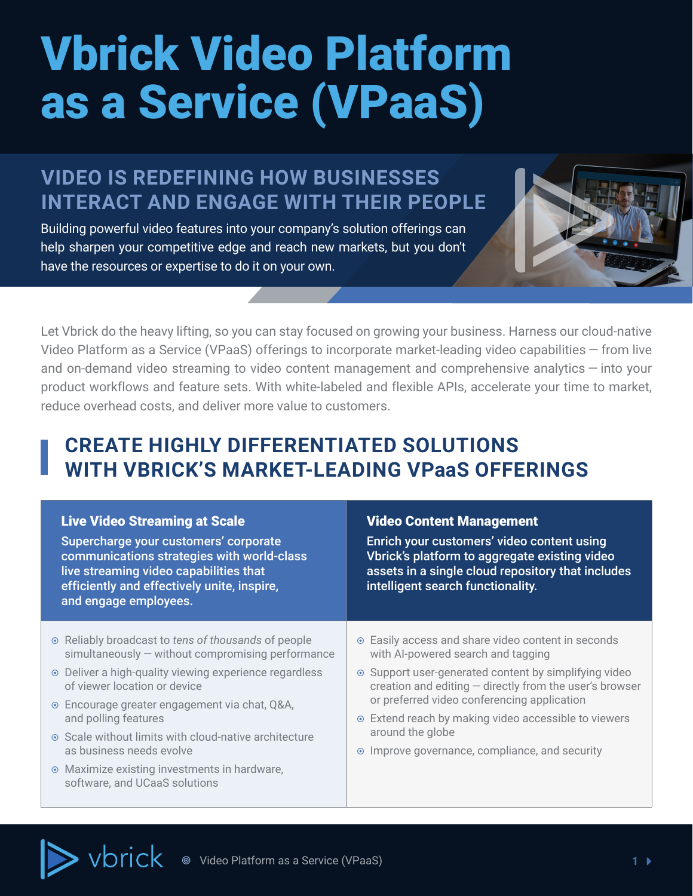# <span id="page-0-0"></span>Vbrick Video Platform as a Service (VPaaS)

## **VIDEO IS REDEFINING HOW BUSINESSES INTERACT AND ENGAGE WITH THEIR PEOPLE**

Building powerful video features into your company's solution offerings can help sharpen your competitive edge and reach new markets, but you don't have the resources or expertise to do it on your own.



Let Vbrick do the heavy lifting, so you can stay focused on growing your business. Harness our cloud-native Video Platform as a Service (VPaaS) offerings to incorporate market-leading video capabilities — from live and on-demand video streaming to video content management and comprehensive analytics — into your product workflows and feature sets. With white-labeled and flexible APIs, accelerate your time to market, reduce overhead costs, and deliver more value to customers.

## **CREATE HIGHLY DIFFERENTIATED SOLUTIONS WITH VBRICK'S MARKET-LEADING VPaaS OFFERINGS**

| <b>Live Video Streaming at Scale</b><br>Supercharge your customers' corporate<br>communications strategies with world-class<br>live streaming video capabilities that<br>efficiently and effectively unite, inspire,<br>and engage employees.                                                                                          | <b>Video Content Management</b><br>Enrich your customers' video content using<br>Vbrick's platform to aggregate existing video<br>assets in a single cloud repository that includes<br>intelligent search functionality.                                                                                                                |
|----------------------------------------------------------------------------------------------------------------------------------------------------------------------------------------------------------------------------------------------------------------------------------------------------------------------------------------|-----------------------------------------------------------------------------------------------------------------------------------------------------------------------------------------------------------------------------------------------------------------------------------------------------------------------------------------|
| • Reliably broadcast to tens of thousands of people<br>$simultaneously - without compromising performance$<br>• Deliver a high-quality viewing experience regardless<br>of viewer location or device<br>⊙ Encourage greater engagement via chat, Q&A,<br>and polling features<br>⊙ Scale without limits with cloud-native architecture | ⊙ Easily access and share video content in seconds<br>with Al-powered search and tagging<br>⊙ Support user-generated content by simplifying video<br>creation and editing - directly from the user's browser<br>or preferred video conferencing application<br>⊙ Extend reach by making video accessible to viewers<br>around the globe |
| as business needs evolve<br>• Maximize existing investments in hardware,<br>software, and UCaaS solutions                                                                                                                                                                                                                              | Improve governance, compliance, and security<br>$\odot$                                                                                                                                                                                                                                                                                 |

vbrick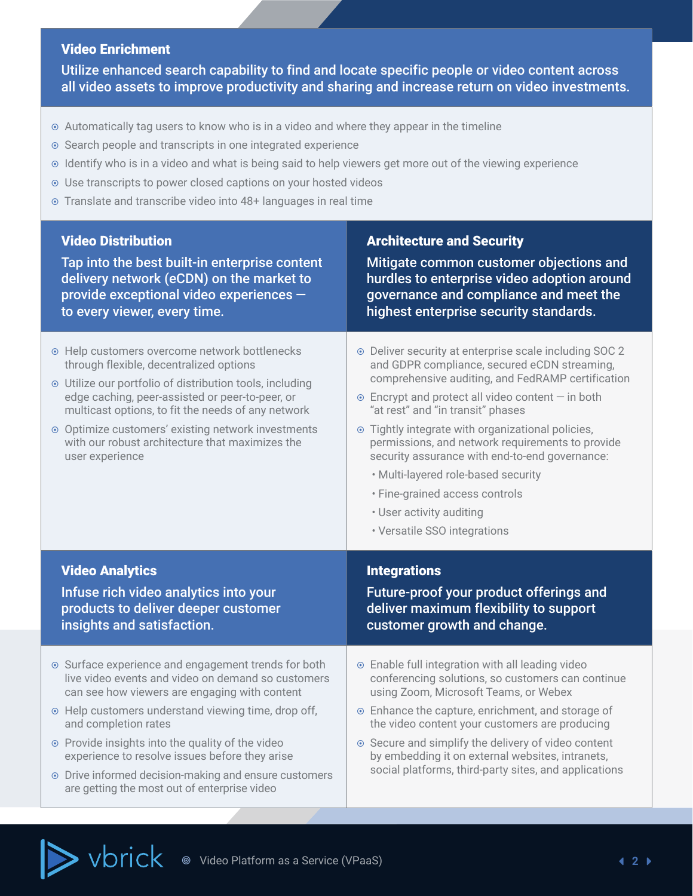### <span id="page-1-0"></span>Video Enrichment

Utilize enhanced search capability to find and locate specific people or video content across all video assets to improve productivity and sharing and increase return on video investments.

- ⊙ Automatically tag users to know who is in a video and where they appear in the timeline
- ⊙ Search people and transcripts in one integrated experience
- ¤ Identify who is in a video and what is being said to help viewers get more out of the viewing experience
- $\odot$  Use transcripts to power closed captions on your hosted videos
- ¤ Translate and transcribe video into 48+ languages in real time

| <b>Video Distribution</b>                                                                                                                                                                                                                                                                                                                                                                                                                                | <b>Architecture and Security</b>                                                                                                                                                                                                                                                                                                                                                                                                                                                                                                                              |
|----------------------------------------------------------------------------------------------------------------------------------------------------------------------------------------------------------------------------------------------------------------------------------------------------------------------------------------------------------------------------------------------------------------------------------------------------------|---------------------------------------------------------------------------------------------------------------------------------------------------------------------------------------------------------------------------------------------------------------------------------------------------------------------------------------------------------------------------------------------------------------------------------------------------------------------------------------------------------------------------------------------------------------|
| Tap into the best built-in enterprise content                                                                                                                                                                                                                                                                                                                                                                                                            | Mitigate common customer objections and                                                                                                                                                                                                                                                                                                                                                                                                                                                                                                                       |
| delivery network (eCDN) on the market to                                                                                                                                                                                                                                                                                                                                                                                                                 | hurdles to enterprise video adoption around                                                                                                                                                                                                                                                                                                                                                                                                                                                                                                                   |
| provide exceptional video experiences -                                                                                                                                                                                                                                                                                                                                                                                                                  | governance and compliance and meet the                                                                                                                                                                                                                                                                                                                                                                                                                                                                                                                        |
| to every viewer, every time.                                                                                                                                                                                                                                                                                                                                                                                                                             | highest enterprise security standards.                                                                                                                                                                                                                                                                                                                                                                                                                                                                                                                        |
| ⊙ Help customers overcome network bottlenecks<br>through flexible, decentralized options<br>⊙ Utilize our portfolio of distribution tools, including<br>edge caching, peer-assisted or peer-to-peer, or<br>multicast options, to fit the needs of any network<br>⊙ Optimize customers' existing network investments<br>with our robust architecture that maximizes the<br>user experience                                                                | ⊙ Deliver security at enterprise scale including SOC 2<br>and GDPR compliance, secured eCDN streaming,<br>comprehensive auditing, and FedRAMP certification<br>$\odot$ Encrypt and protect all video content $-$ in both<br>"at rest" and "in transit" phases<br>⊙ Tightly integrate with organizational policies,<br>permissions, and network requirements to provide<br>security assurance with end-to-end governance:<br>· Multi-layered role-based security<br>· Fine-grained access controls<br>• User activity auditing<br>· Versatile SSO integrations |
| <b>Video Analytics</b>                                                                                                                                                                                                                                                                                                                                                                                                                                   | <b>Integrations</b>                                                                                                                                                                                                                                                                                                                                                                                                                                                                                                                                           |
| Infuse rich video analytics into your                                                                                                                                                                                                                                                                                                                                                                                                                    | Future-proof your product offerings and                                                                                                                                                                                                                                                                                                                                                                                                                                                                                                                       |
| products to deliver deeper customer                                                                                                                                                                                                                                                                                                                                                                                                                      | deliver maximum flexibility to support                                                                                                                                                                                                                                                                                                                                                                                                                                                                                                                        |
| insights and satisfaction.                                                                                                                                                                                                                                                                                                                                                                                                                               | customer growth and change.                                                                                                                                                                                                                                                                                                                                                                                                                                                                                                                                   |
| • Surface experience and engagement trends for both<br>live video events and video on demand so customers<br>can see how viewers are engaging with content<br>• Help customers understand viewing time, drop off,<br>and completion rates<br>⊙ Provide insights into the quality of the video<br>experience to resolve issues before they arise<br>• Drive informed decision-making and ensure customers<br>are getting the most out of enterprise video | ⊙ Enable full integration with all leading video<br>conferencing solutions, so customers can continue<br>using Zoom, Microsoft Teams, or Webex<br>• Enhance the capture, enrichment, and storage of<br>the video content your customers are producing<br>⊙ Secure and simplify the delivery of video content<br>by embedding it on external websites, intranets,<br>social platforms, third-party sites, and applications                                                                                                                                     |